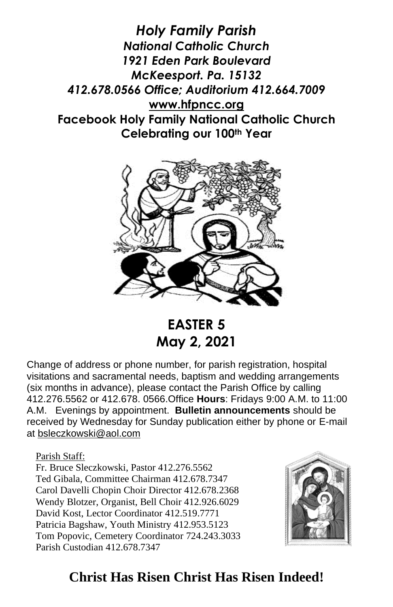*Holy Family Parish National Catholic Church 1921 Eden Park Boulevard McKeesport. Pa. 15132 412.678.0566 Office; Auditorium 412.664.7009* **[www.hfpncc.org](http://www.hfpncc.org/) Facebook Holy Family National Catholic Church Celebrating our 100th Year**



**EASTER 5 May 2, 2021**

Change of address or phone number, for parish registration, hospital visitations and sacramental needs, baptism and wedding arrangements (six months in advance), please contact the Parish Office by calling 412.276.5562 or 412.678. 0566.Office **Hours**: Fridays 9:00 A.M. to 11:00 A.M. Evenings by appointment. **Bulletin announcements** should be received by Wednesday for Sunday publication either by phone or E-mail at [bsleczkowski@aol.com](mailto:bsleczkowski@aol.com)

Parish Staff:

Fr. Bruce Sleczkowski, Pastor 412.276.5562 Ted Gibala, Committee Chairman 412.678.7347 Carol Davelli Chopin Choir Director 412.678.2368 Wendy Blotzer, Organist, Bell Choir 412.926.6029 David Kost, Lector Coordinator 412.519.7771 Patricia Bagshaw, Youth Ministry 412.953.5123 Tom Popovic, Cemetery Coordinator 724.243.3033 Parish Custodian 412.678.7347



# **Christ Has Risen Christ Has Risen Indeed!**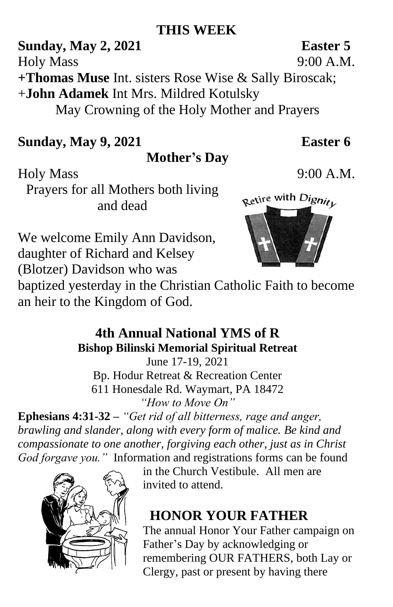## **THIS WEEK**

**Sunday, May 2, 2021 Easter 5** Holy Mass 9:00 A.M. **+Thomas Muse** Int. sisters Rose Wise & Sally Biroscak; +**John Adamek** Int Mrs. Mildred Kotulsky May Crowning of the Holy Mother and Prayers

# **Sunday, May 9, 2021 Easter 6**

# **Mother's Day**

Holy Mass 9:00 A.M.

Prayers for all Mothers both living and dead



We welcome Emily Ann Davidson,

daughter of Richard and Kelsey

(Blotzer) Davidson who was

baptized yesterday in the Christian Catholic Faith to become an heir to the Kingdom of God.

# **4th Annual National YMS of R Bishop Bilinski Memorial Spiritual Retreat**

June 17-19, 2021 Bp. Hodur Retreat & Recreation Center 611 Honesdale Rd. Waymart, PA 18472 *"How to Move On"* 

**Ephesians 4:31-32 –** *"Get rid of all bitterness, rage and anger, brawling and slander, along with every form of malice. Be kind and compassionate to one another, forgiving each other, just as in Christ God forgave you."* Information and registrations forms can be found



in the Church Vestibule. All men are invited to attend.

# **HONOR YOUR FATHER**

The annual Honor Your Father campaign on Father's Day by acknowledging or remembering OUR FATHERS, both Lay or Clergy, past or present by having there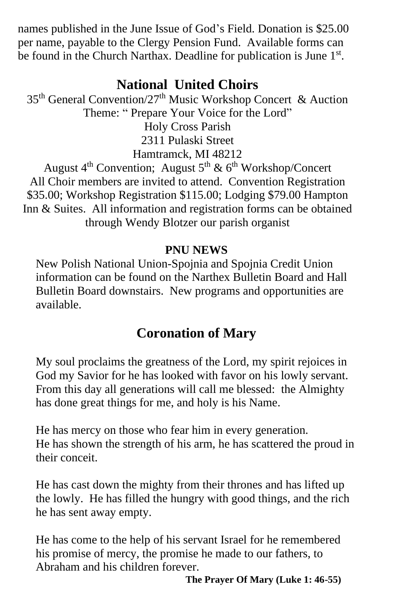names published in the June Issue of God's Field. Donation is \$25.00 per name, payable to the Clergy Pension Fund. Available forms can be found in the Church Narthax. Deadline for publication is June 1st.

# **National United Choirs**

35th General Convention/27th Music Workshop Concert & Auction Theme: " Prepare Your Voice for the Lord" Holy Cross Parish 2311 Pulaski Street Hamtramck, MI 48212 August  $4^{th}$  Convention; August  $5^{th}$  &  $6^{th}$  Workshop/Concert

All Choir members are invited to attend. Convention Registration \$35.00; Workshop Registration \$115.00; Lodging \$79.00 Hampton Inn & Suites. All information and registration forms can be obtained through Wendy Blotzer our parish organist

### **PNU NEWS**

New Polish National Union-Spojnia and Spojnia Credit Union information can be found on the Narthex Bulletin Board and Hall Bulletin Board downstairs. New programs and opportunities are available.

# **Coronation of Mary**

My soul proclaims the greatness of the Lord, my spirit rejoices in God my Savior for he has looked with favor on his lowly servant. From this day all generations will call me blessed: the Almighty has done great things for me, and holy is his Name.

He has mercy on those who fear him in every generation. He has shown the strength of his arm, he has scattered the proud in their conceit.

He has cast down the mighty from their thrones and has lifted up the lowly. He has filled the hungry with good things, and the rich he has sent away empty.

He has come to the help of his servant Israel for he remembered his promise of mercy, the promise he made to our fathers, to Abraham and his children forever.

**The Prayer Of Mary (Luke 1: 46-55)**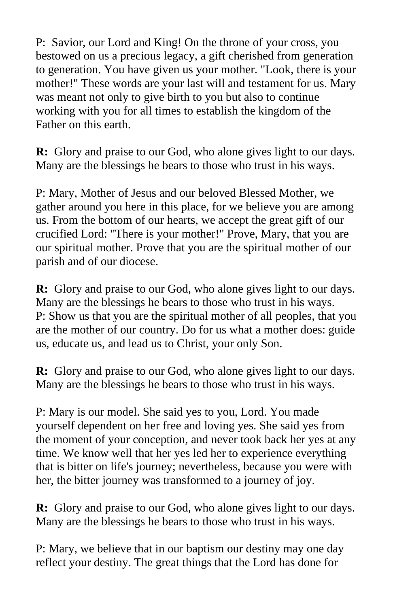P: Savior, our Lord and King! On the throne of your cross, you bestowed on us a precious legacy, a gift cherished from generation to generation. You have given us your mother. "Look, there is your mother!" These words are your last will and testament for us. Mary was meant not only to give birth to you but also to continue working with you for all times to establish the kingdom of the Father on this earth.

**R:** Glory and praise to our God, who alone gives light to our days. Many are the blessings he bears to those who trust in his ways.

P: Mary, Mother of Jesus and our beloved Blessed Mother, we gather around you here in this place, for we believe you are among us. From the bottom of our hearts, we accept the great gift of our crucified Lord: "There is your mother!" Prove, Mary, that you are our spiritual mother. Prove that you are the spiritual mother of our parish and of our diocese.

**R:** Glory and praise to our God, who alone gives light to our days. Many are the blessings he bears to those who trust in his ways. P: Show us that you are the spiritual mother of all peoples, that you are the mother of our country. Do for us what a mother does: guide us, educate us, and lead us to Christ, your only Son.

**R:** Glory and praise to our God, who alone gives light to our days. Many are the blessings he bears to those who trust in his ways.

P: Mary is our model. She said yes to you, Lord. You made yourself dependent on her free and loving yes. She said yes from the moment of your conception, and never took back her yes at any time. We know well that her yes led her to experience everything that is bitter on life's journey; nevertheless, because you were with her, the bitter journey was transformed to a journey of joy.

**R:** Glory and praise to our God, who alone gives light to our days. Many are the blessings he bears to those who trust in his ways.

P: Mary, we believe that in our baptism our destiny may one day reflect your destiny. The great things that the Lord has done for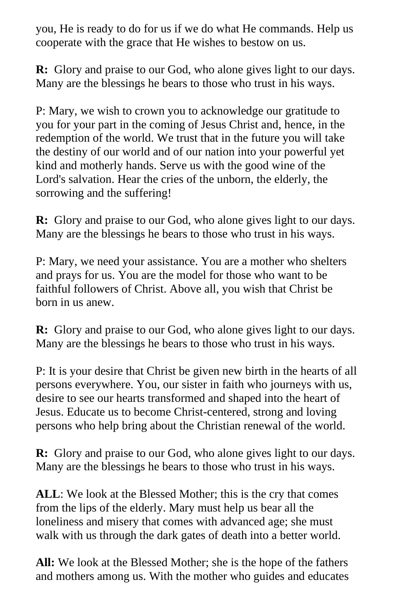you, He is ready to do for us if we do what He commands. Help us cooperate with the grace that He wishes to bestow on us.

**R:** Glory and praise to our God, who alone gives light to our days. Many are the blessings he bears to those who trust in his ways.

P: Mary, we wish to crown you to acknowledge our gratitude to you for your part in the coming of Jesus Christ and, hence, in the redemption of the world. We trust that in the future you will take the destiny of our world and of our nation into your powerful yet kind and motherly hands. Serve us with the good wine of the Lord's salvation. Hear the cries of the unborn, the elderly, the sorrowing and the suffering!

**R:** Glory and praise to our God, who alone gives light to our days. Many are the blessings he bears to those who trust in his ways.

P: Mary, we need your assistance. You are a mother who shelters and prays for us. You are the model for those who want to be faithful followers of Christ. Above all, you wish that Christ be born in us anew.

**R:** Glory and praise to our God, who alone gives light to our days. Many are the blessings he bears to those who trust in his ways.

P: It is your desire that Christ be given new birth in the hearts of all persons everywhere. You, our sister in faith who journeys with us, desire to see our hearts transformed and shaped into the heart of Jesus. Educate us to become Christ-centered, strong and loving persons who help bring about the Christian renewal of the world.

**R:** Glory and praise to our God, who alone gives light to our days. Many are the blessings he bears to those who trust in his ways.

**ALL**: We look at the Blessed Mother; this is the cry that comes from the lips of the elderly. Mary must help us bear all the loneliness and misery that comes with advanced age; she must walk with us through the dark gates of death into a better world.

**All:** We look at the Blessed Mother; she is the hope of the fathers and mothers among us. With the mother who guides and educates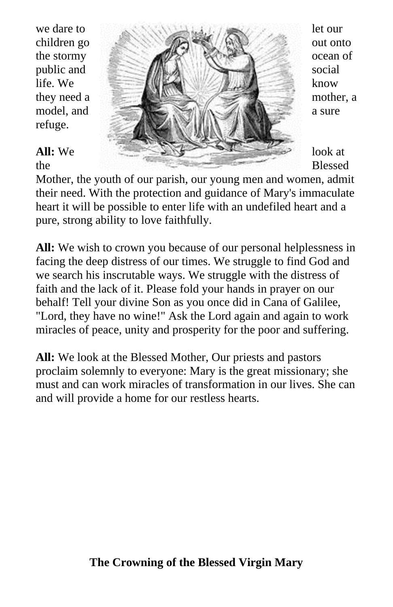refuge.





Mother, the youth of our parish, our young men and women, admit their need. With the protection and guidance of Mary's immaculate heart it will be possible to enter life with an undefiled heart and a pure, strong ability to love faithfully.

**All:** We wish to crown you because of our personal helplessness in facing the deep distress of our times. We struggle to find God and we search his inscrutable ways. We struggle with the distress of faith and the lack of it. Please fold your hands in prayer on our behalf! Tell your divine Son as you once did in Cana of Galilee, "Lord, they have no wine!" Ask the Lord again and again to work miracles of peace, unity and prosperity for the poor and suffering.

**All:** We look at the Blessed Mother, Our priests and pastors proclaim solemnly to everyone: Mary is the great missionary; she must and can work miracles of transformation in our lives. She can and will provide a home for our restless hearts.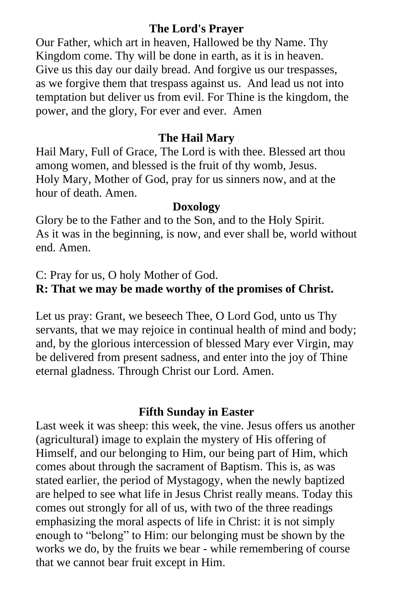#### **The Lord's Prayer**

Our Father, which art in heaven, Hallowed be thy Name. Thy Kingdom come. Thy will be done in earth, as it is in heaven. Give us this day our daily bread. And forgive us our trespasses, as we forgive them that trespass against us. And lead us not into temptation but deliver us from evil. For Thine is the kingdom, the power, and the glory, For ever and ever. Amen

#### **The Hail Mary**

Hail Mary, Full of Grace, The Lord is with thee. Blessed art thou among women, and blessed is the fruit of thy womb, Jesus. Holy Mary, Mother of God, pray for us sinners now, and at the hour of death. Amen.

#### **Doxology**

Glory be to the Father and to the Son, and to the Holy Spirit. As it was in the beginning, is now, and ever shall be, world without end. Amen.

C: Pray for us, O holy Mother of God.

### **R: That we may be made worthy of the promises of Christ.**

Let us pray: Grant, we beseech Thee, O Lord God, unto us Thy servants, that we may rejoice in continual health of mind and body; and, by the glorious intercession of blessed Mary ever Virgin, may be delivered from present sadness, and enter into the joy of Thine eternal gladness. Through Christ our Lord. Amen.

### **Fifth Sunday in Easter**

Last week it was sheep: this week, the vine. Jesus offers us another (agricultural) image to explain the mystery of His offering of Himself, and our belonging to Him, our being part of Him, which comes about through the sacrament of Baptism. This is, as was stated earlier, the period of Mystagogy, when the newly baptized are helped to see what life in Jesus Christ really means. Today this comes out strongly for all of us, with two of the three readings emphasizing the moral aspects of life in Christ: it is not simply enough to "belong" to Him: our belonging must be shown by the works we do, by the fruits we bear - while remembering of course that we cannot bear fruit except in Him.